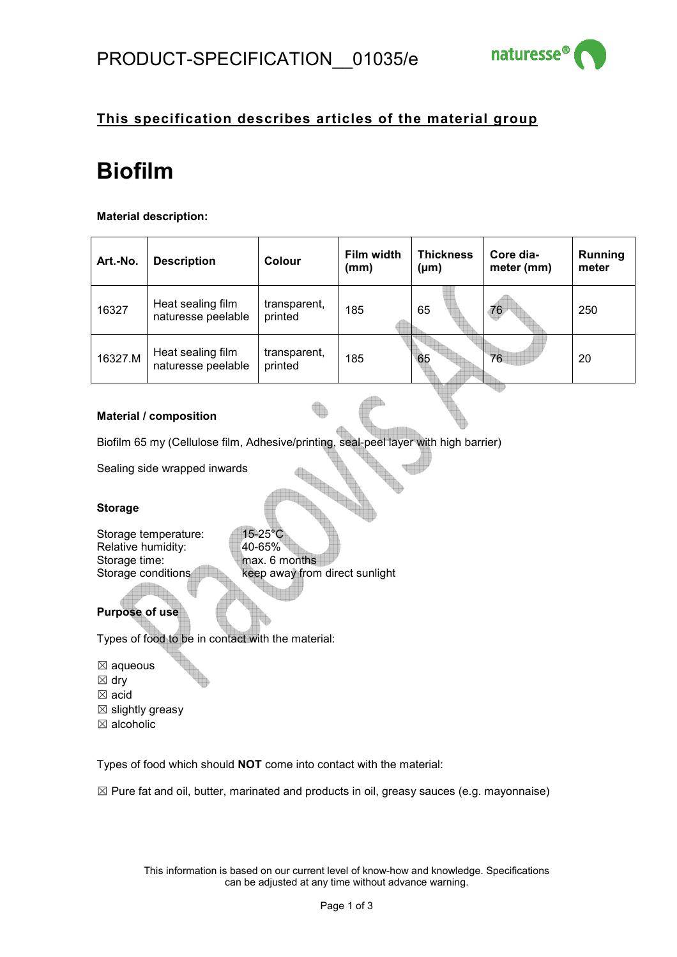

# **This specification describes articles of the material group**

# **Biofilm**

## **Material description:**

| Art.-No. | <b>Description</b>                      | Colour                  | Film width<br>(mm) | <b>Thickness</b><br>$(\mu m)$ | Core dia-<br>meter (mm) | <b>Running</b><br>meter |
|----------|-----------------------------------------|-------------------------|--------------------|-------------------------------|-------------------------|-------------------------|
| 16327    | Heat sealing film<br>naturesse peelable | transparent,<br>printed | 185                | 65                            | 76                      | 250                     |
| 16327.M  | Heat sealing film<br>naturesse peelable | transparent,<br>printed | 185                | 65                            | 76                      | 20                      |

#### **Material / composition**

Biofilm 65 my (Cellulose film, Adhesive/printing, seal-peel layer with high barrier)

Sealing side wrapped inwards

## **Storage**

| Storage temperature: | $15-25$ °C                     |
|----------------------|--------------------------------|
| Relative humidity:   | 40-65%                         |
| Storage time:        | max. 6 months                  |
| Storage conditions   | keep away from direct sunlight |
|                      |                                |

## **Purpose of use**

Types of food to be in contact with the material:

- ☒ aqueous
- ☒ dry
- ☒ acid
- $\boxtimes$  slightly greasy
- ☒ alcoholic

Types of food which should **NOT** come into contact with the material:

 $\boxtimes$  Pure fat and oil, butter, marinated and products in oil, greasy sauces (e.g. mayonnaise)

This information is based on our current level of know-how and knowledge. Specifications can be adjusted at any time without advance warning.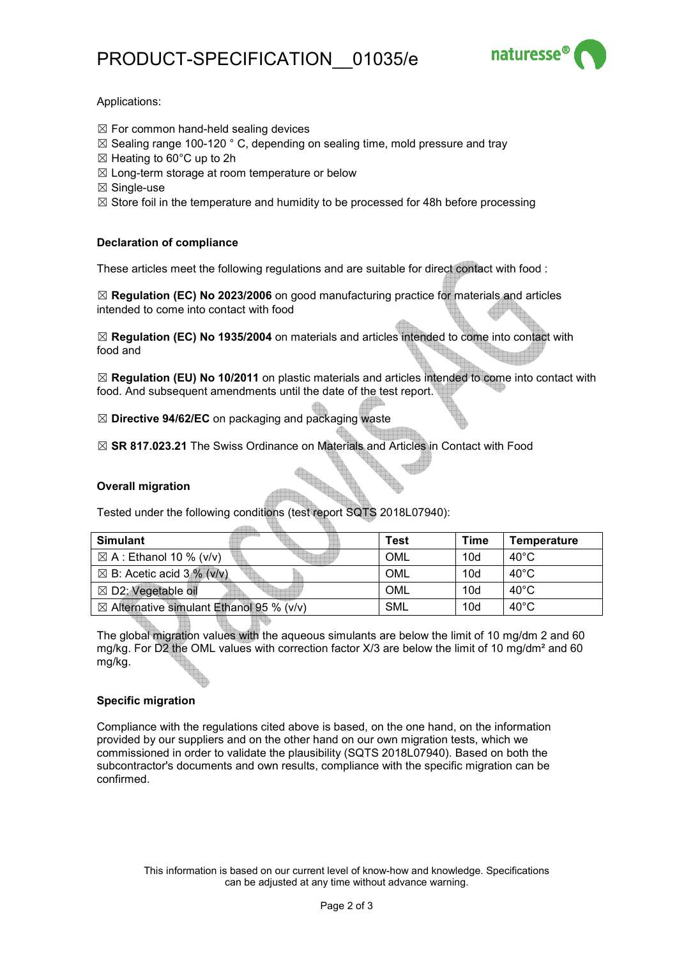

#### Applications:

- $\boxtimes$  For common hand-held sealing devices
- $\boxtimes$  Sealing range 100-120  $^{\circ}$  C, depending on sealing time, mold pressure and tray
- $\boxtimes$  Heating to 60 $\degree$ C up to 2h
- $\boxtimes$  Long-term storage at room temperature or below
- ☒ Single-use
- $\boxtimes$  Store foil in the temperature and humidity to be processed for 48h before processing

#### **Declaration of compliance**

These articles meet the following regulations and are suitable for direct contact with food :

☒ **Regulation (EC) No 2023/2006** on good manufacturing practice for materials and articles intended to come into contact with food

☒ **Regulation (EC) No 1935/2004** on materials and articles intended to come into contact with food and

☒ **Regulation (EU) No 10/2011** on plastic materials and articles intended to come into contact with food. And subsequent amendments until the date of the test report.

☒ **Directive 94/62/EC** on packaging and packaging waste

☒ **SR 817.023.21** The Swiss Ordinance on Materials and Articles in Contact with Food

#### **Overall migration**

Tested under the following conditions (test report SQTS 2018L07940):

| <b>Simulant</b>                                     | <b>Test</b> | Time | <b>Temperature</b> |
|-----------------------------------------------------|-------------|------|--------------------|
| $\boxtimes$ A : Ethanol 10 % (v/v)                  | OML         | 10d  | $40^{\circ}$ C     |
| $\boxtimes$ B: Acetic acid 3 % (v/v)                | OML         | 10d  | $40^{\circ}$ C     |
| $\boxtimes$ D2: Vegetable oil                       | OML         | 10d  | $40^{\circ}$ C     |
| $\boxtimes$ Alternative simulant Ethanol 95 % (v/v) | <b>SML</b>  | 10d  | $40^{\circ}$ C     |

The global migration values with the aqueous simulants are below the limit of 10 mg/dm 2 and 60 mg/kg. For D2 the OML values with correction factor X/3 are below the limit of 10 mg/dm<sup>2</sup> and 60 mg/kg.

#### **Specific migration**

Compliance with the regulations cited above is based, on the one hand, on the information provided by our suppliers and on the other hand on our own migration tests, which we commissioned in order to validate the plausibility (SQTS 2018L07940). Based on both the subcontractor's documents and own results, compliance with the specific migration can be confirmed.